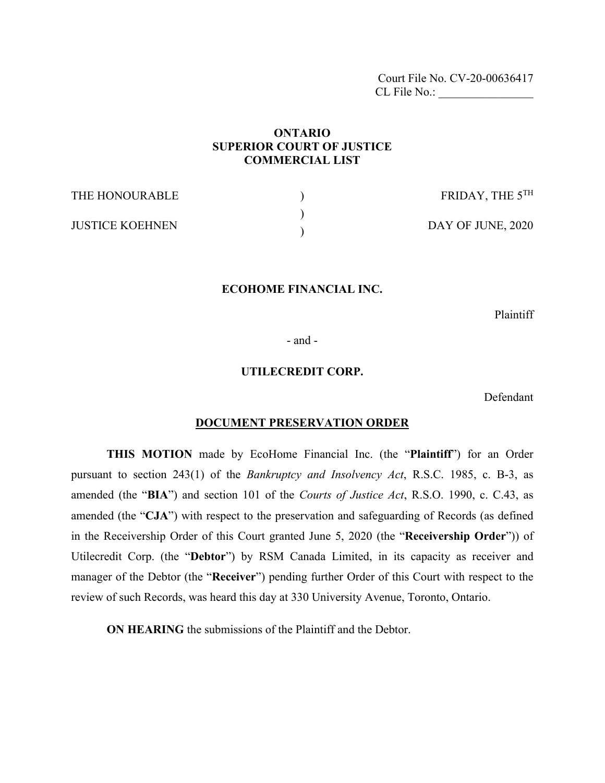Court File No. CV-20-00636417 CL File No.:

# **ONTARIO SUPERIOR COURT OF JUSTICE COMMERCIAL LIST**

| THE HONOURABLE         | FRIDAY, THE $5^{TH}$ |
|------------------------|----------------------|
| <b>JUSTICE KOEHNEN</b> | DAY OF JUNE, 2020    |

### **ECOHOME FINANCIAL INC.**

Plaintiff

- and -

### **UTILECREDIT CORP.**

Defendant

#### **DOCUMENT PRESERVATION ORDER**

**THIS MOTION** made by EcoHome Financial Inc. (the "**Plaintiff**") for an Order pursuant to section 243(1) of the *Bankruptcy and Insolvency Act*, R.S.C. 1985, c. B-3, as amended (the "**BIA**") and section 101 of the *Courts of Justice Act*, R.S.O. 1990, c. C.43, as amended (the "**CJA**") with respect to the preservation and safeguarding of Records (as defined in the Receivership Order of this Court granted June 5, 2020 (the "**Receivership Order**")) of Utilecredit Corp. (the "**Debtor**") by RSM Canada Limited, in its capacity as receiver and manager of the Debtor (the "**Receiver**") pending further Order of this Court with respect to the review of such Records, was heard this day at 330 University Avenue, Toronto, Ontario.

**ON HEARING** the submissions of the Plaintiff and the Debtor.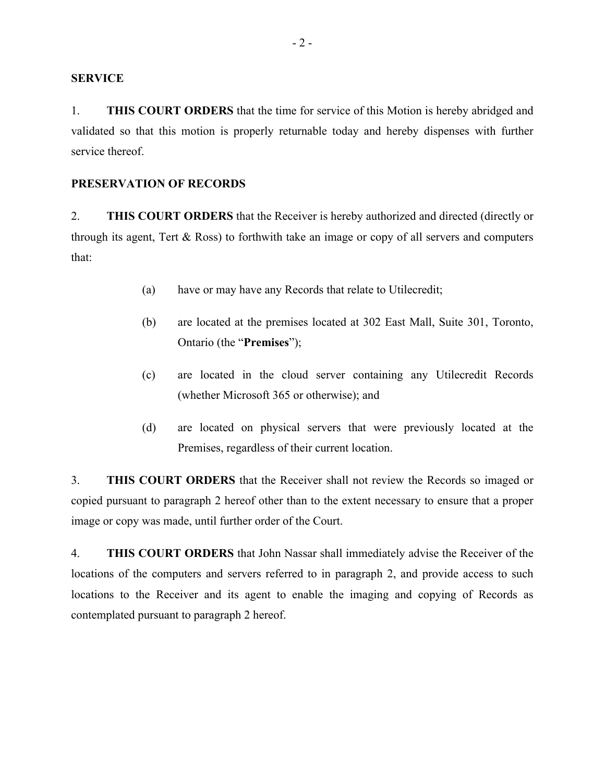#### **SERVICE**

1. **THIS COURT ORDERS** that the time for service of this Motion is hereby abridged and validated so that this motion is properly returnable today and hereby dispenses with further service thereof.

#### **PRESERVATION OF RECORDS**

2. **THIS COURT ORDERS** that the Receiver is hereby authorized and directed (directly or through its agent, Tert & Ross) to forthwith take an image or copy of all servers and computers that:

- (a) have or may have any Records that relate to Utilecredit;
- (b) are located at the premises located at 302 East Mall, Suite 301, Toronto, Ontario (the "**Premises**");
- (c) are located in the cloud server containing any Utilecredit Records (whether Microsoft 365 or otherwise); and
- (d) are located on physical servers that were previously located at the Premises, regardless of their current location.

3. **THIS COURT ORDERS** that the Receiver shall not review the Records so imaged or copied pursuant to paragraph 2 hereof other than to the extent necessary to ensure that a proper image or copy was made, until further order of the Court.

4. **THIS COURT ORDERS** that John Nassar shall immediately advise the Receiver of the locations of the computers and servers referred to in paragraph 2, and provide access to such locations to the Receiver and its agent to enable the imaging and copying of Records as contemplated pursuant to paragraph 2 hereof.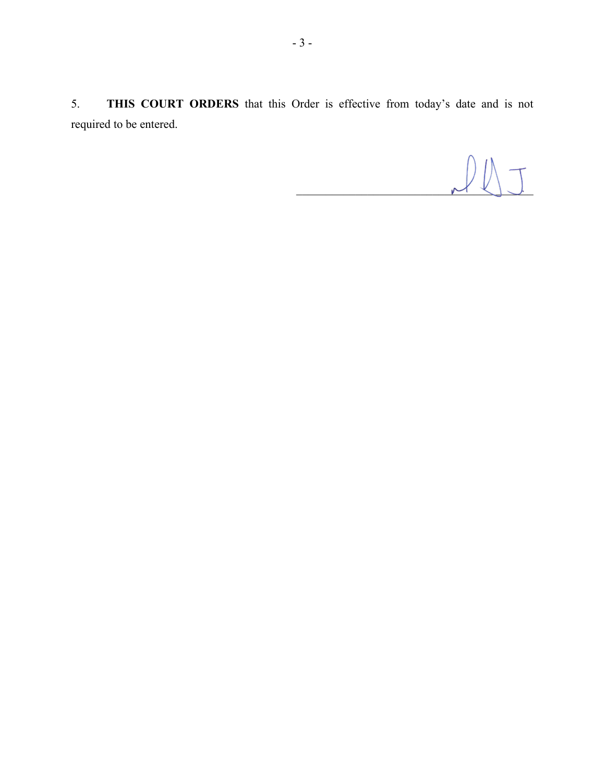5. **THIS COURT ORDERS** that this Order is effective from today's date and is not required to be entered.

 $M$   $\vee$   $\cup$